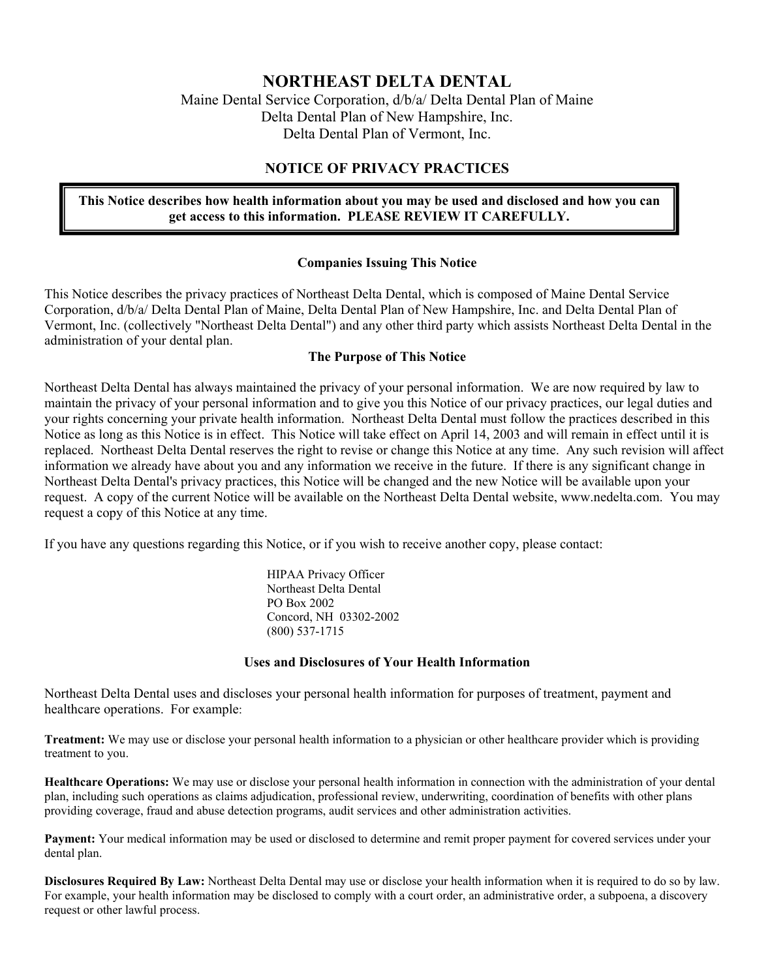# **NORTHEAST DELTA DENTAL**

Maine Dental Service Corporation, d/b/a/ Delta Dental Plan of Maine Delta Dental Plan of New Hampshire, Inc. Delta Dental Plan of Vermont, Inc.

## **NOTICE OF PRIVACY PRACTICES**

## **This Notice describes how health information about you may be used and disclosed and how you can get access to this information. PLEASE REVIEW IT CAREFULLY.**

### **Companies Issuing This Notice**

This Notice describes the privacy practices of Northeast Delta Dental, which is composed of Maine Dental Service Corporation, d/b/a/ Delta Dental Plan of Maine, Delta Dental Plan of New Hampshire, Inc. and Delta Dental Plan of Vermont, Inc. (collectively "Northeast Delta Dental") and any other third party which assists Northeast Delta Dental in the administration of your dental plan.

### **The Purpose of This Notice**

Northeast Delta Dental has always maintained the privacy of your personal information. We are now required by law to maintain the privacy of your personal information and to give you this Notice of our privacy practices, our legal duties and your rights concerning your private health information. Northeast Delta Dental must follow the practices described in this Notice as long as this Notice is in effect. This Notice will take effect on April 14, 2003 and will remain in effect until it is replaced. Northeast Delta Dental reserves the right to revise or change this Notice at any time. Any such revision will affect information we already have about you and any information we receive in the future. If there is any significant change in Northeast Delta Dental's privacy practices, this Notice will be changed and the new Notice will be available upon your request. A copy of the current Notice will be available on the Northeast Delta Dental website, www.nedelta.com. You may request a copy of this Notice at any time.

If you have any questions regarding this Notice, or if you wish to receive another copy, please contact:

 HIPAA Privacy Officer Northeast Delta Dental PO Box 2002 Concord, NH 03302-2002 (800) 537-1715

### **Uses and Disclosures of Your Health Information**

Northeast Delta Dental uses and discloses your personal health information for purposes of treatment, payment and healthcare operations. For example:

**Treatment:** We may use or disclose your personal health information to a physician or other healthcare provider which is providing treatment to you.

**Healthcare Operations:** We may use or disclose your personal health information in connection with the administration of your dental plan, including such operations as claims adjudication, professional review, underwriting, coordination of benefits with other plans providing coverage, fraud and abuse detection programs, audit services and other administration activities.

**Payment:** Your medical information may be used or disclosed to determine and remit proper payment for covered services under your dental plan.

**Disclosures Required By Law:** Northeast Delta Dental may use or disclose your health information when it is required to do so by law. For example, your health information may be disclosed to comply with a court order, an administrative order, a subpoena, a discovery request or other lawful process.